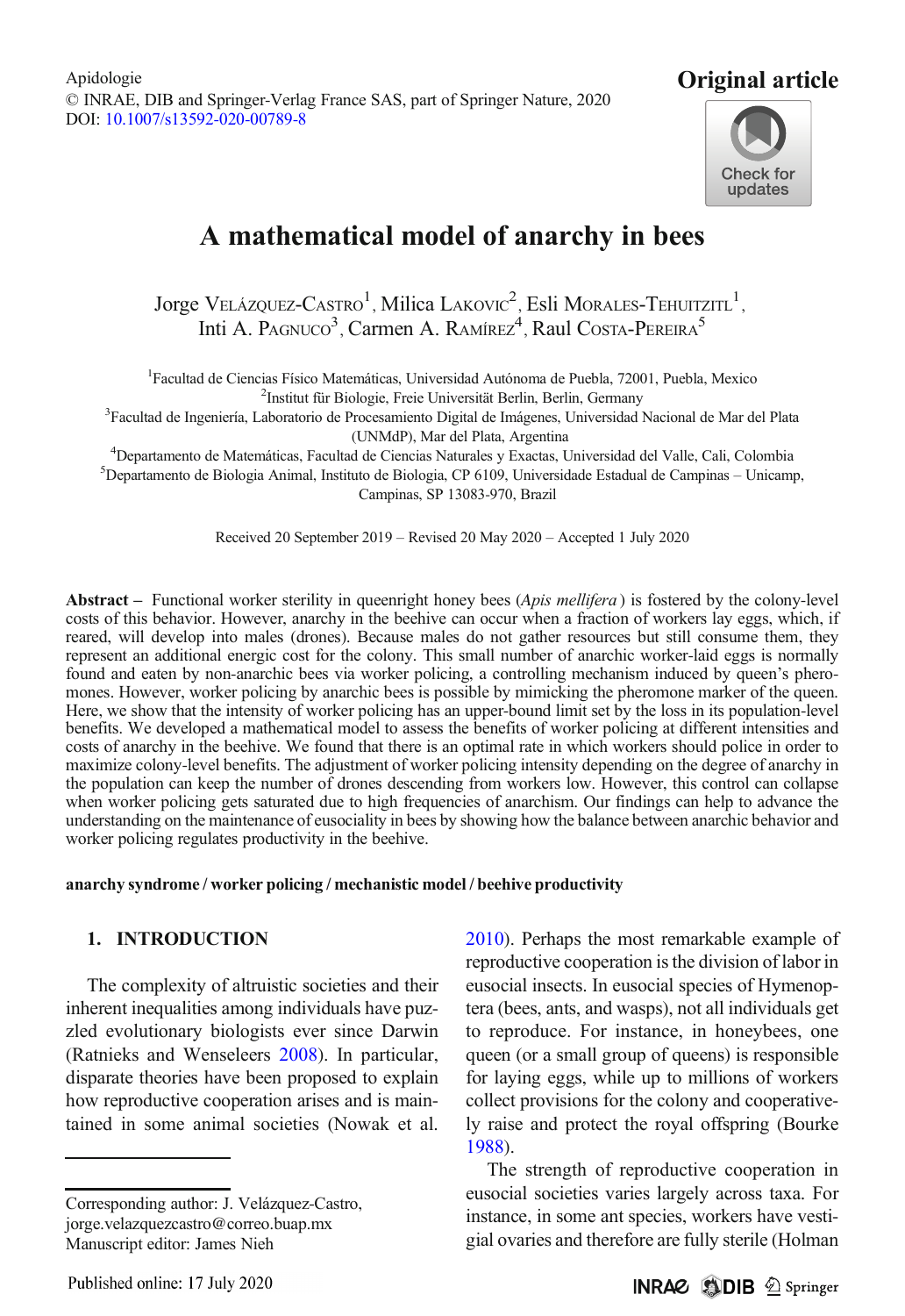

# A mathematical model of anarchy in bees

Jorge Velázquez-Castro $^1$ , Milica Lakovic $^2$ , Esli Morales-Tehuitzitl $^1,$ Inti A. PAGNUCO<sup>3</sup>, Carmen A. RAMÍREZ<sup>4</sup>, Raul COSTA-PEREIRA<sup>5</sup>

<sup>1</sup> Facultad de Ciencias Físico Matemáticas, Universidad Autónoma de Puebla, 72001, Puebla, Mexico <sup>2</sup> Institut für Biologie, Freie Universität Berlin, Berlin, Germany

Institut für Biologie, Freie Universität Berlin, Berlin, Germany <sup>3</sup> Facultad de Ingeniería, Laboratorio de Procesamiento Digital de Imágenes, Universidad Nacional de Mar del Plata (UNMdP), Mar del Plata, Argentina)<br><sup>4</sup>Departamento de Matemáticas, Eacultad de Ciencias Naturales y Exactas, I

Departamento de Matemáticas, Facultad de Ciencias Naturales y Exactas, Universidad del Valle, Cali, Colombia <sup>5</sup> <sup>5</sup>Departamento de Biologia Animal, Instituto de Biologia, CP 6109, Universidade Estadual de Campinas – Unicamp, Campinas, SP 13083-970, Brazil

Received 20 September 2019 – Revised 20 May 2020 – Accepted 1 July 2020

Abstract – Functional worker sterility in queenright honey bees (Apis mellifera) is fostered by the colony-level costs of this behavior. However, anarchy in the beehive can occur when a fraction of workers lay eggs, which, if reared, will develop into males (drones). Because males do not gather resources but still consume them, they represent an additional energic cost for the colony. This small number of anarchic worker-laid eggs is normally found and eaten by non-anarchic bees via worker policing, a controlling mechanism induced by queen's pheromones. However, worker policing by anarchic bees is possible by mimicking the pheromone marker of the queen. Here, we show that the intensity of worker policing has an upper-bound limit set by the loss in its population-level benefits. We developed a mathematical model to assess the benefits of worker policing at different intensities and costs of anarchy in the beehive. We found that there is an optimal rate in which workers should police in order to maximize colony-level benefits. The adjustment of worker policing intensity depending on the degree of anarchy in the population can keep the number of drones descending from workers low. However, this control can collapse when worker policing gets saturated due to high frequencies of anarchism. Our findings can help to advance the understanding on the maintenance of eusociality in bees by showing how the balance between anarchic behavior and worker policing regulates productivity in the beehive.

#### anarchy syndrome / worker policing / mechanistic model / beehive productivity

## 1. INTRODUCTION

The complexity of altruistic societies and their inherent inequalities among individuals have puzzled evolutionary biologists ever since Darwin (Ratnieks and Wenseleers [2008](#page-7-0)). In particular, disparate theories have been proposed to explain how reproductive cooperation arises and is maintained in some animal societies (Nowak et al.

Corresponding author: J. Velázquez-Castro, jorge.velazquezcastro@correo.buap.mx Manuscript editor: James Nieh

[2010\)](#page-7-0). Perhaps the most remarkable example of reproductive cooperation is the division of labor in eusocial insects. In eusocial species of Hymenoptera (bees, ants, and wasps), not all individuals get to reproduce. For instance, in honeybees, one queen (or a small group of queens) is responsible for laying eggs, while up to millions of workers collect provisions for the colony and cooperatively raise and protect the royal offspring (Bourke [1988\)](#page-6-0).

The strength of reproductive cooperation in eusocial societies varies largely across taxa. For instance, in some ant species, workers have vestigial ovaries and therefore are fully sterile (Holman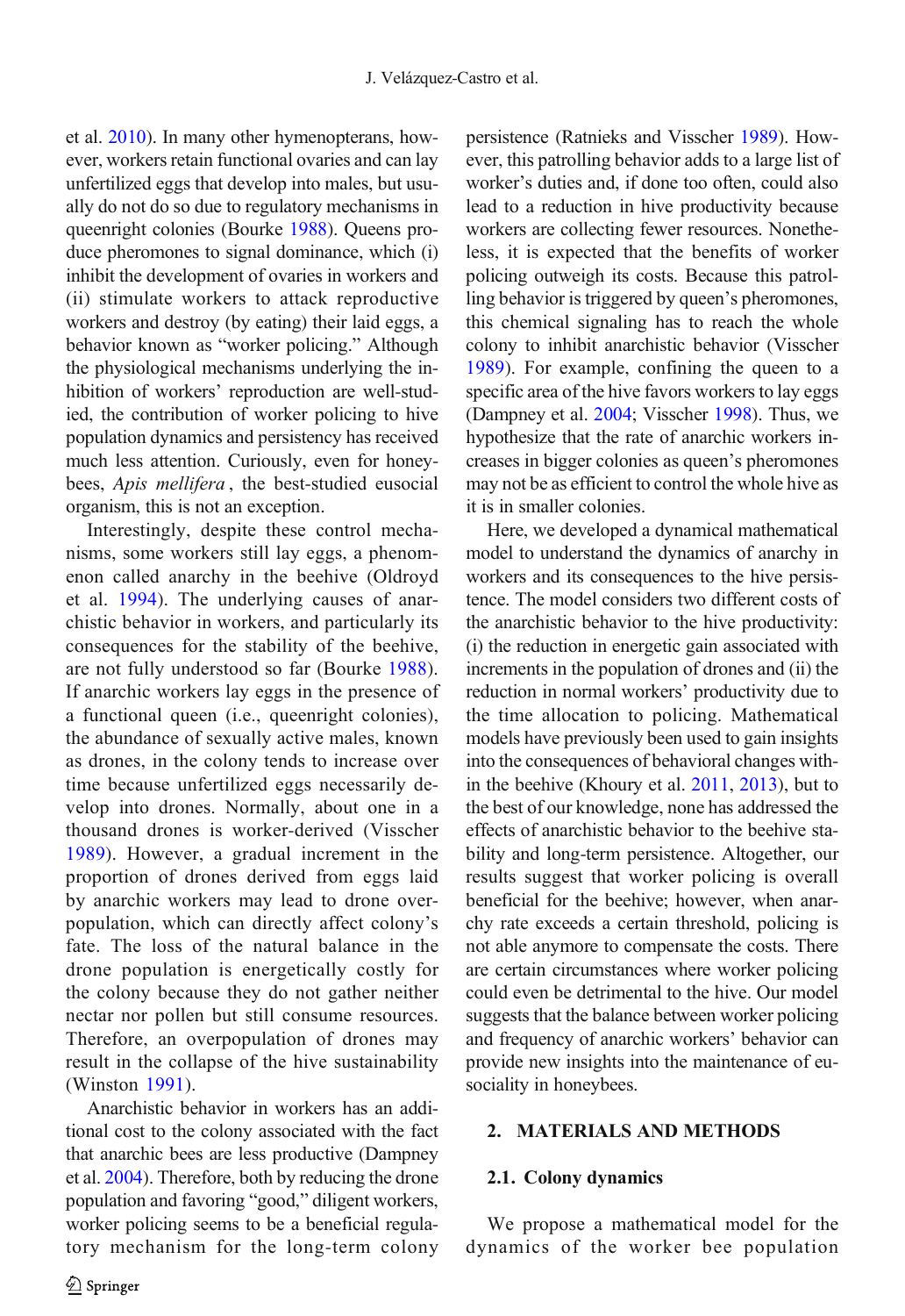et al. [2010\)](#page-6-0). In many other hymenopterans, however, workers retain functional ovaries and can lay unfertilized eggs that develop into males, but usually do not do so due to regulatory mechanisms in queenright colonies (Bourke [1988](#page-6-0)). Queens produce pheromones to signal dominance, which (i) inhibit the development of ovaries in workers and (ii) stimulate workers to attack reproductive workers and destroy (by eating) their laid eggs, a behavior known as "worker policing." Although the physiological mechanisms underlying the inhibition of workers' reproduction are well-studied, the contribution of worker policing to hive population dynamics and persistency has received much less attention. Curiously, even for honeybees, Apis mellifera, the best-studied eusocial organism, this is not an exception.

Interestingly, despite these control mechanisms, some workers still lay eggs, a phenomenon called anarchy in the beehive (Oldroyd et al. [1994](#page-7-0)). The underlying causes of anarchistic behavior in workers, and particularly its consequences for the stability of the beehive, are not fully understood so far (Bourke [1988\)](#page-6-0). If anarchic workers lay eggs in the presence of a functional queen (i.e., queenright colonies), the abundance of sexually active males, known as drones, in the colony tends to increase over time because unfertilized eggs necessarily develop into drones. Normally, about one in a thousand drones is worker-derived (Visscher [1989\)](#page-7-0). However, a gradual increment in the proportion of drones derived from eggs laid by anarchic workers may lead to drone overpopulation, which can directly affect colony's fate. The loss of the natural balance in the drone population is energetically costly for the colony because they do not gather neither nectar nor pollen but still consume resources. Therefore, an overpopulation of drones may result in the collapse of the hive sustainability (Winston [1991\)](#page-7-0).

Anarchistic behavior in workers has an additional cost to the colony associated with the fact that anarchic bees are less productive (Dampney et al. [2004\)](#page-6-0). Therefore, both by reducing the drone population and favoring "good," diligent workers, worker policing seems to be a beneficial regulatory mechanism for the long-term colony persistence (Ratnieks and Visscher [1989](#page-7-0)). However, this patrolling behavior adds to a large list of worker's duties and, if done too often, could also lead to a reduction in hive productivity because workers are collecting fewer resources. Nonetheless, it is expected that the benefits of worker policing outweigh its costs. Because this patrolling behavior is triggered by queen's pheromones, this chemical signaling has to reach the whole colony to inhibit anarchistic behavior (Visscher [1989](#page-7-0)). For example, confining the queen to a specific area of the hive favors workers to lay eggs (Dampney et al. [2004;](#page-6-0) Visscher [1998\)](#page-7-0). Thus, we hypothesize that the rate of anarchic workers increases in bigger colonies as queen's pheromones may not be as efficient to control the whole hive as it is in smaller colonies.

Here, we developed a dynamical mathematical model to understand the dynamics of anarchy in workers and its consequences to the hive persistence. The model considers two different costs of the anarchistic behavior to the hive productivity: (i) the reduction in energetic gain associated with increments in the population of drones and (ii) the reduction in normal workers' productivity due to the time allocation to policing. Mathematical models have previously been used to gain insights into the consequences of behavioral changes within the beehive (Khoury et al. [2011](#page-7-0), [2013](#page-7-0)), but to the best of our knowledge, none has addressed the effects of anarchistic behavior to the beehive stability and long-term persistence. Altogether, our results suggest that worker policing is overall beneficial for the beehive; however, when anarchy rate exceeds a certain threshold, policing is not able anymore to compensate the costs. There are certain circumstances where worker policing could even be detrimental to the hive. Our model suggests that the balance between worker policing and frequency of anarchic workers' behavior can provide new insights into the maintenance of eusociality in honeybees.

#### 2. MATERIALS AND METHODS

#### 2.1. Colony dynamics

We propose a mathematical model for the dynamics of the worker bee population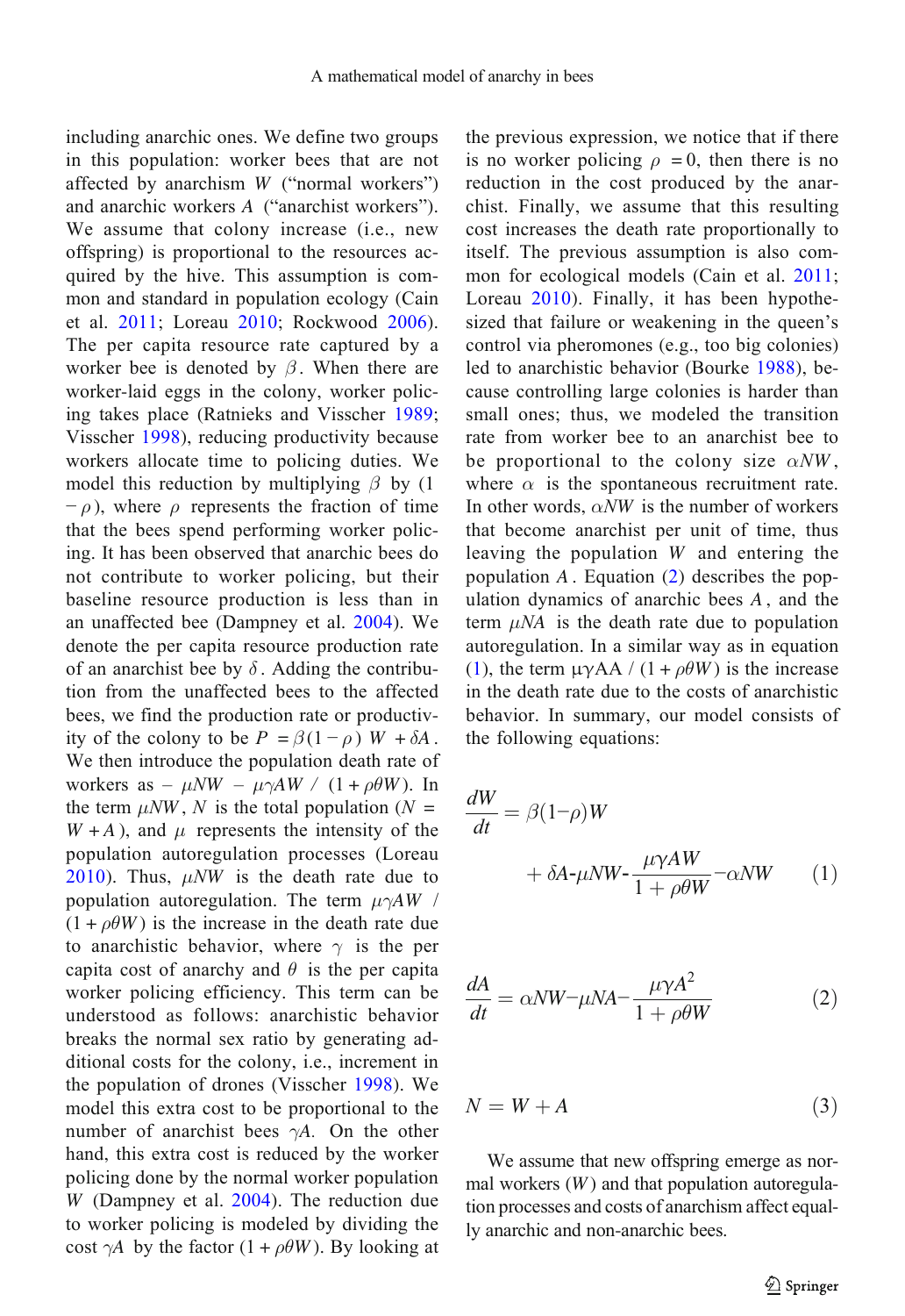including anarchic ones. We define two groups in this population: worker bees that are not affected by anarchism W ("normal workers") and anarchic workers A ("anarchist workers"). We assume that colony increase (i.e., new offspring) is proportional to the resources acquired by the hive. This assumption is common and standard in population ecology (Cain et al. [2011;](#page-6-0) Loreau [2010;](#page-7-0) Rockwood [2006\)](#page-7-0). The per capita resource rate captured by a worker bee is denoted by  $\beta$ . When there are worker-laid eggs in the colony, worker policing takes place (Ratnieks and Visscher [1989](#page-7-0); Visscher [1998](#page-7-0)), reducing productivity because workers allocate time to policing duties. We model this reduction by multiplying  $\beta$  by (1)  $-\rho$ ), where  $\rho$  represents the fraction of time that the bees spend performing worker policing. It has been observed that anarchic bees do not contribute to worker policing, but their baseline resource production is less than in an unaffected bee (Dampney et al. [2004](#page-6-0)). We denote the per capita resource production rate of an anarchist bee by  $\delta$ . Adding the contribution from the unaffected bees to the affected bees, we find the production rate or productivity of the colony to be  $P = \beta(1 - \rho) W + \delta A$ . We then introduce the population death rate of workers as –  $\mu N W - \mu \gamma A W / (1 + \rho \theta W)$ . In the term  $\mu N W$ , N is the total population (N =  $W + A$ ), and  $\mu$  represents the intensity of the population autoregulation processes (Loreau [2010\)](#page-7-0). Thus,  $\mu N W$  is the death rate due to population autoregulation. The term  $\mu\gamma A W$  /  $(1 + \rho \theta W)$  is the increase in the death rate due to anarchistic behavior, where  $\gamma$  is the per capita cost of anarchy and  $\theta$  is the per capita worker policing efficiency. This term can be understood as follows: anarchistic behavior breaks the normal sex ratio by generating additional costs for the colony, i.e., increment in the population of drones (Visscher [1998](#page-7-0)). We model this extra cost to be proportional to the number of anarchist bees  $\gamma A$ . On the other hand, this extra cost is reduced by the worker policing done by the normal worker population W (Dampney et al. [2004](#page-6-0)). The reduction due to worker policing is modeled by dividing the cost  $\gamma A$  by the factor  $(1 + \rho \theta W)$ . By looking at the previous expression, we notice that if there is no worker policing  $\rho = 0$ , then there is no reduction in the cost produced by the anarchist. Finally, we assume that this resulting cost increases the death rate proportionally to itself. The previous assumption is also common for ecological models (Cain et al. [2011;](#page-6-0) Loreau [2010\)](#page-7-0). Finally, it has been hypothesized that failure or weakening in the queen's control via pheromones (e.g., too big colonies) led to anarchistic behavior (Bourke [1988](#page-6-0)), because controlling large colonies is harder than small ones; thus, we modeled the transition rate from worker bee to an anarchist bee to be proportional to the colony size  $\alpha N W$ , where  $\alpha$  is the spontaneous recruitment rate. In other words,  $\alpha N W$  is the number of workers that become anarchist per unit of time, thus leaving the population W and entering the population  $A$ . Equation  $(2)$  describes the population dynamics of anarchic bees A , and the term  $\mu NA$  is the death rate due to population autoregulation. In a similar way as in equation (1), the term  $\mu \gamma A A / (1 + \rho \theta W)$  is the increase in the death rate due to the costs of anarchistic behavior. In summary, our model consists of the following equations:

$$
\frac{dW}{dt} = \beta(1-\rho)W + \delta A - \mu NW - \frac{\mu \gamma AW}{1 + \rho \theta W} - \alpha NW \qquad (1)
$$

$$
\frac{dA}{dt} = \alpha N W - \mu N A - \frac{\mu \gamma A^2}{1 + \rho \theta W} \tag{2}
$$

 $N = W + A$  (3)

We assume that new offspring emerge as normal workers  $(W)$  and that population autoregulation processes and costs of anarchism affect equally anarchic and non-anarchic bees.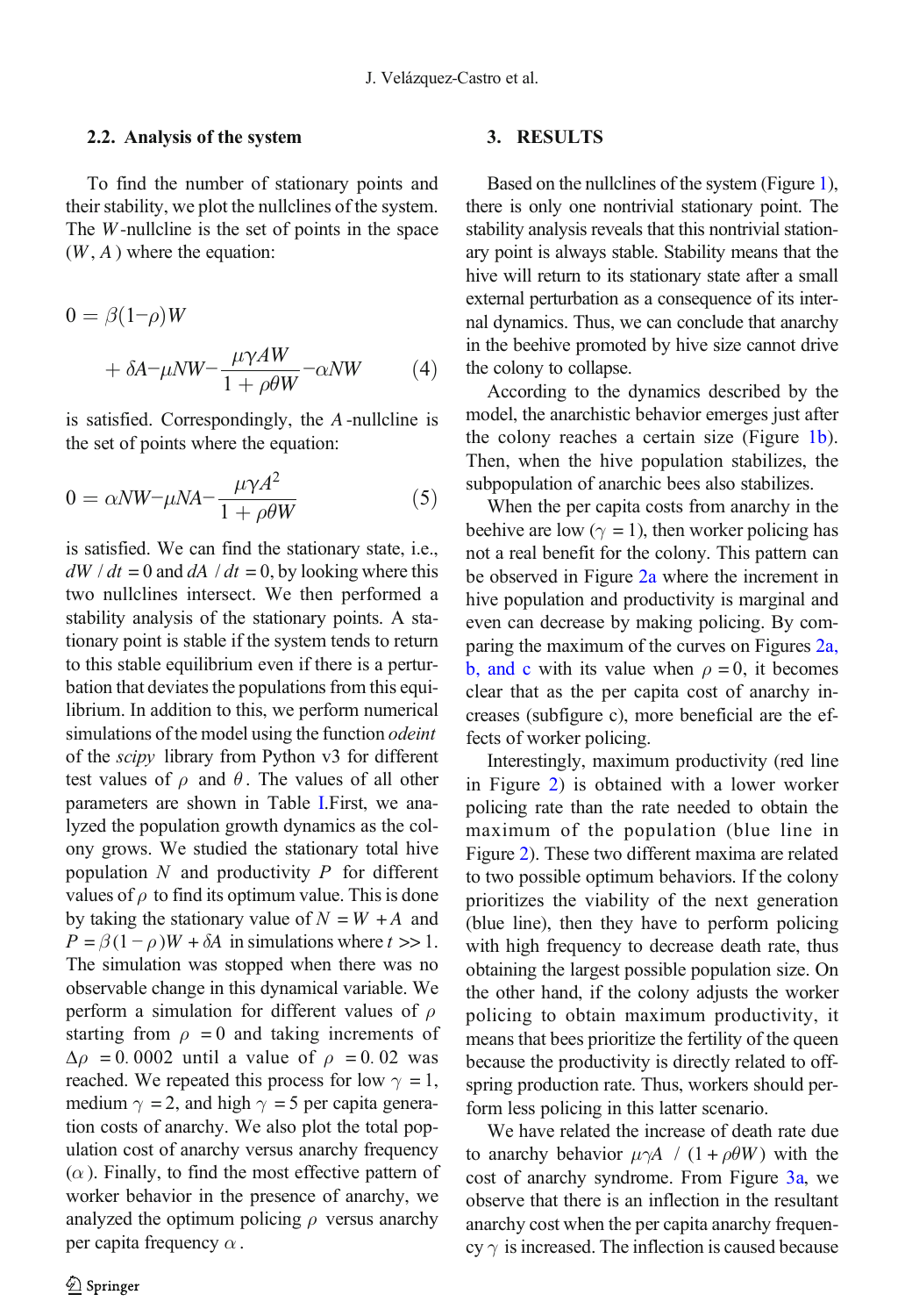#### 2.2. Analysis of the system

To find the number of stationary points and their stability, we plot the nullclines of the system. The  $W$ -nullcline is the set of points in the space  $(W, A)$  where the equation:

$$
0 = \beta(1-\rho)W
$$
  
+  $\delta A - \mu N W - \frac{\mu \gamma A W}{1 + \rho \theta W} - \alpha N W$  (4)

is satisfied. Correspondingly, the A -nullcline is the set of points where the equation:

$$
0 = \alpha N W - \mu N A - \frac{\mu \gamma A^2}{1 + \rho \theta W} \tag{5}
$$

is satisfied. We can find the stationary state, i.e.,  $dW / dt = 0$  and  $dA / dt = 0$ , by looking where this two nullclines intersect. We then performed a stability analysis of the stationary points. A stationary point is stable if the system tends to return to this stable equilibrium even if there is a perturbation that deviates the populations from this equilibrium. In addition to this, we perform numerical simulations of the model using the function *odeint* of the *scipy* library from Python v3 for different test values of  $\rho$  and  $\theta$ . The values of all other parameters are shown in Table [I.](#page-4-0)First, we analyzed the population growth dynamics as the colony grows. We studied the stationary total hive population  $N$  and productivity  $P$  for different values of  $\rho$  to find its optimum value. This is done by taking the stationary value of  $N = W + A$  and  $P = \beta(1 - \rho)W + \delta A$  in simulations where  $t >> 1$ . The simulation was stopped when there was no observable change in this dynamical variable. We perform a simulation for different values of  $\rho$ starting from  $\rho = 0$  and taking increments of  $\Delta \rho$  = 0.0002 until a value of  $\rho$  = 0.02 was reached. We repeated this process for low  $\gamma = 1$ , medium  $\gamma = 2$ , and high  $\gamma = 5$  per capita generation costs of anarchy. We also plot the total population cost of anarchy versus anarchy frequency  $(\alpha)$ . Finally, to find the most effective pattern of worker behavior in the presence of anarchy, we analyzed the optimum policing  $\rho$  versus anarchy per capita frequency  $\alpha$ .

# 3. RESULTS

Based on the nullclines of the system (Figure [1](#page-4-0)), there is only one nontrivial stationary point. The stability analysis reveals that this nontrivial stationary point is always stable. Stability means that the hive will return to its stationary state after a small external perturbation as a consequence of its internal dynamics. Thus, we can conclude that anarchy in the beehive promoted by hive size cannot drive the colony to collapse.

According to the dynamics described by the model, the anarchistic behavior emerges just after the colony reaches a certain size (Figure [1b\)](#page-4-0). Then, when the hive population stabilizes, the subpopulation of anarchic bees also stabilizes.

When the per capita costs from anarchy in the beehive are low ( $\gamma = 1$ ), then worker policing has not a real benefit for the colony. This pattern can be observed in Figure [2a](#page-5-0) where the increment in hive population and productivity is marginal and even can decrease by making policing. By comparing the maximum of the curves on Figures [2a,](#page-5-0) [b, and c](#page-5-0) with its value when  $\rho = 0$ , it becomes clear that as the per capita cost of anarchy increases (subfigure c), more beneficial are the effects of worker policing.

Interestingly, maximum productivity (red line in Figure [2\)](#page-5-0) is obtained with a lower worker policing rate than the rate needed to obtain the maximum of the population (blue line in Figure [2\)](#page-5-0). These two different maxima are related to two possible optimum behaviors. If the colony prioritizes the viability of the next generation (blue line), then they have to perform policing with high frequency to decrease death rate, thus obtaining the largest possible population size. On the other hand, if the colony adjusts the worker policing to obtain maximum productivity, it means that bees prioritize the fertility of the queen because the productivity is directly related to offspring production rate. Thus, workers should perform less policing in this latter scenario.

We have related the increase of death rate due to anarchy behavior  $\mu \gamma A$  / (1+ $\rho \theta W$ ) with the cost of anarchy syndrome. From Figure [3a,](#page-5-0) we observe that there is an inflection in the resultant anarchy cost when the per capita anarchy frequency  $\gamma$  is increased. The inflection is caused because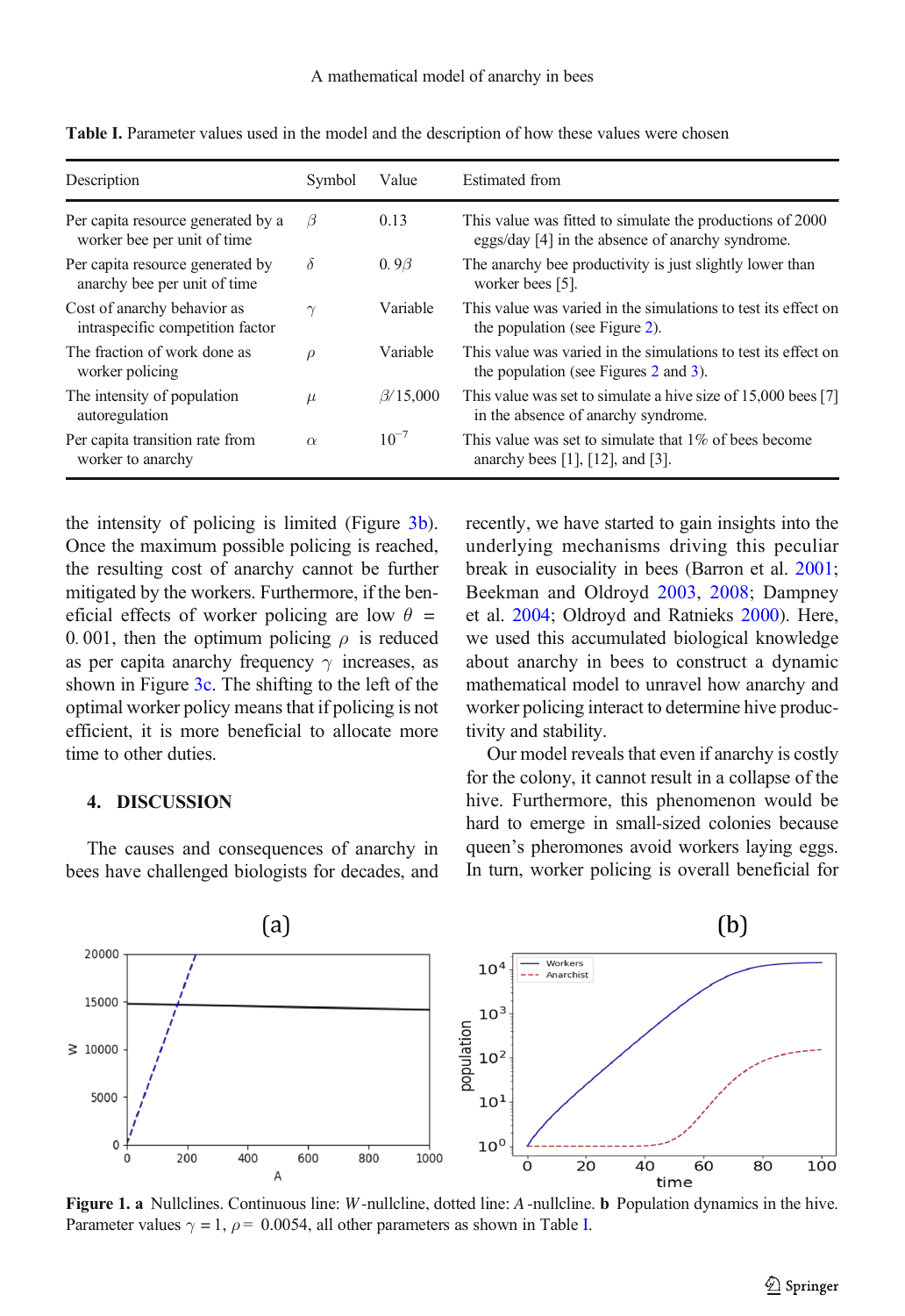| Description                                                       | Symbol   | Value                                                                                                           | <b>Estimated</b> from                                                                                         |
|-------------------------------------------------------------------|----------|-----------------------------------------------------------------------------------------------------------------|---------------------------------------------------------------------------------------------------------------|
| Per capita resource generated by a<br>worker bee per unit of time | $\beta$  | 0.13                                                                                                            | This value was fitted to simulate the productions of 2000<br>eggs/day [4] in the absence of anarchy syndrome. |
| Per capita resource generated by<br>anarchy bee per unit of time  | $\delta$ | 0.9 <beta< td=""><td>The anarchy bee productivity is just slightly lower than<br/>worker bees [5].</td></beta<> | The anarchy bee productivity is just slightly lower than<br>worker bees [5].                                  |
| Cost of anarchy behavior as<br>intraspecific competition factor   | $\gamma$ | Variable                                                                                                        | This value was varied in the simulations to test its effect on<br>the population (see Figure 2).              |
| The fraction of work done as<br>worker policing                   | $\rho$   | Variable                                                                                                        | This value was varied in the simulations to test its effect on<br>the population (see Figures 2 and 3).       |
| The intensity of population<br>autoregulation                     | $\mu$    | $\beta$ /15,000                                                                                                 | This value was set to simulate a hive size of 15,000 bees [7]<br>in the absence of anarchy syndrome.          |
| Per capita transition rate from<br>worker to anarchy              | $\alpha$ | $10^{-7}$                                                                                                       | This value was set to simulate that 1\% of bees become<br>anarchy bees [1], [12], and [3].                    |

<span id="page-4-0"></span>Table I. Parameter values used in the model and the description of how these values were chosen

the intensity of policing is limited (Figure  $3b$ ). Once the maximum possible policing is reached, the resulting cost of anarchy cannot be further mitigated by the workers. Furthermore, if the beneficial effects of worker policing are low  $\theta =$ 0. 001, then the optimum policing  $\rho$  is reduced as per capita anarchy frequency  $\gamma$  increases, as shown in Figure [3c](#page-5-0). The shifting to the left of the optimal worker policy means that if policing is not efficient, it is more beneficial to allocate more time to other duties.

#### 4. DISCUSSION

The causes and consequences of anarchy in bees have challenged biologists for decades, and

recently, we have started to gain insights into the underlying mechanisms driving this peculiar break in eusociality in bees (Barron et al. [2001;](#page-6-0) Beekman and Oldroyd [2003](#page-6-0), [2008;](#page-6-0) Dampney et al. [2004;](#page-6-0) Oldroyd and Ratnieks [2000\)](#page-7-0). Here, we used this accumulated biological knowledge about anarchy in bees to construct a dynamic mathematical model to unravel how anarchy and worker policing interact to determine hive productivity and stability.

Our model reveals that even if anarchy is costly for the colony, it cannot result in a collapse of the hive. Furthermore, this phenomenon would be hard to emerge in small-sized colonies because queen's pheromones avoid workers laying eggs. In turn, worker policing is overall beneficial for



Figure 1. a Nullclines. Continuous line: W-nullcline, dotted line: A-nullcline. **b** Population dynamics in the hive. Parameter values  $\gamma = 1$ ,  $\rho = 0.0054$ , all other parameters as shown in Table I.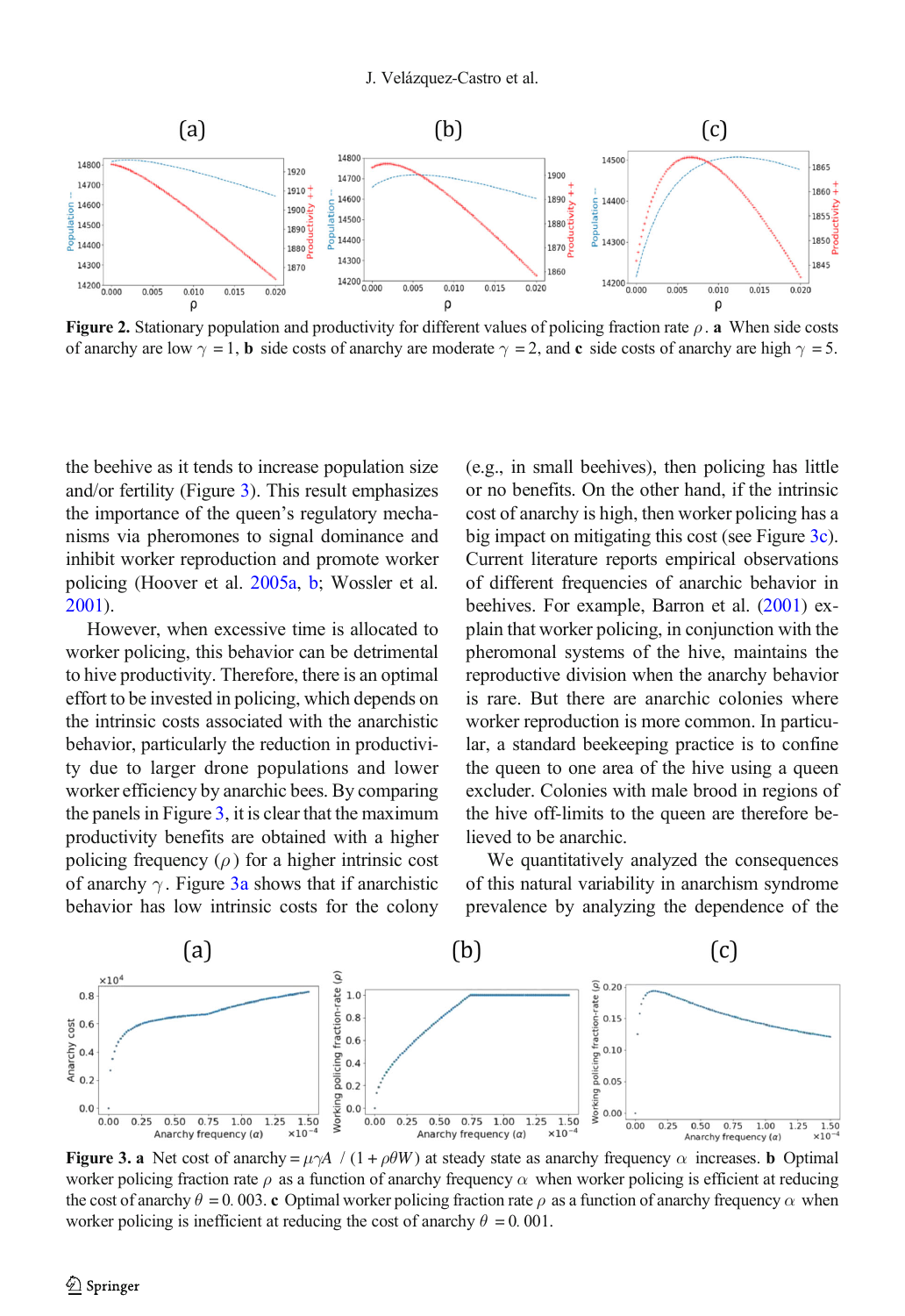<span id="page-5-0"></span>

Figure 2. Stationary population and productivity for different values of policing fraction rate  $\rho$ . a When side costs of anarchy are low  $\gamma = 1$ , b side costs of anarchy are moderate  $\gamma = 2$ , and c side costs of anarchy are high  $\gamma = 5$ .

the beehive as it tends to increase population size and/or fertility (Figure 3). This result emphasizes the importance of the queen's regulatory mechanisms via pheromones to signal dominance and inhibit worker reproduction and promote worker policing (Hoover et al. [2005a,](#page-7-0) [b;](#page-7-0) Wossler et al. [2001\)](#page-7-0).

However, when excessive time is allocated to worker policing, this behavior can be detrimental to hive productivity. Therefore, there is an optimal effort to be invested in policing, which depends on the intrinsic costs associated with the anarchistic behavior, particularly the reduction in productivity due to larger drone populations and lower worker efficiency by anarchic bees. By comparing the panels in Figure  $3$ , it is clear that the maximum productivity benefits are obtained with a higher policing frequency  $(\rho)$  for a higher intrinsic cost of anarchy  $\gamma$ . Figure 3a shows that if anarchistic behavior has low intrinsic costs for the colony

(e.g., in small beehives), then policing has little or no benefits. On the other hand, if the intrinsic cost of anarchy is high, then worker policing has a big impact on mitigating this cost (see Figure 3c). Current literature reports empirical observations of different frequencies of anarchic behavior in beehives. For example, Barron et al. ([2001](#page-6-0)) explain that worker policing, in conjunction with the pheromonal systems of the hive, maintains the reproductive division when the anarchy behavior is rare. But there are anarchic colonies where worker reproduction is more common. In particular, a standard beekeeping practice is to confine the queen to one area of the hive using a queen excluder. Colonies with male brood in regions of the hive off-limits to the queen are therefore believed to be anarchic.

We quantitatively analyzed the consequences of this natural variability in anarchism syndrome prevalence by analyzing the dependence of the



**Figure 3. a** Net cost of anarchy =  $\mu \gamma A / (1 + \rho \theta W)$  at steady state as anarchy frequency  $\alpha$  increases. **b** Optimal worker policing fraction rate  $\rho$  as a function of anarchy frequency  $\alpha$  when worker policing is efficient at reducing the cost of anarchy  $\theta = 0.003$ . c Optimal worker policing fraction rate  $\rho$  as a function of anarchy frequency  $\alpha$  when worker policing is inefficient at reducing the cost of anarchy  $\theta = 0.001$ .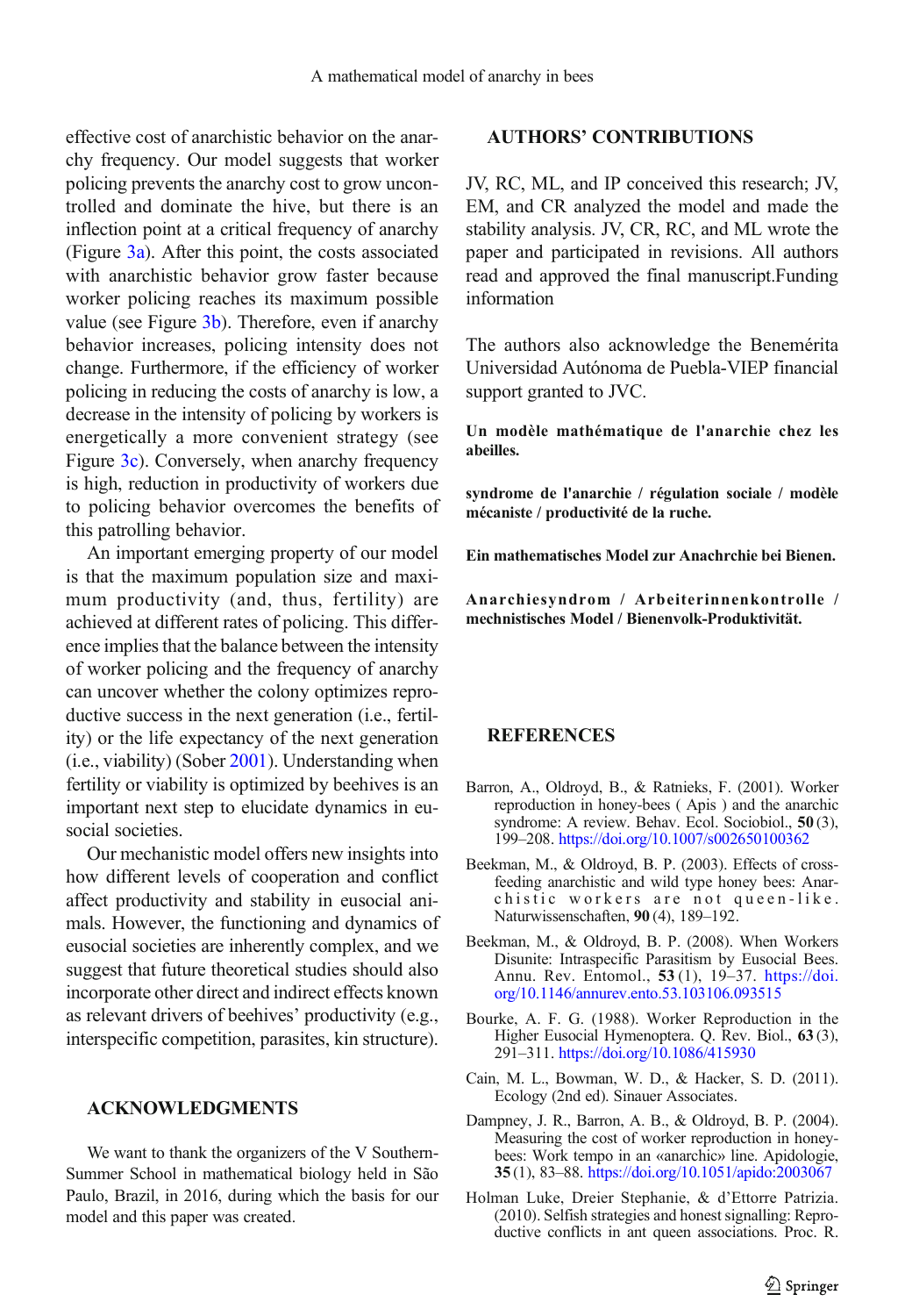<span id="page-6-0"></span>effective cost of anarchistic behavior on the anarchy frequency. Our model suggests that worker policing prevents the anarchy cost to grow uncontrolled and dominate the hive, but there is an inflection point at a critical frequency of anarchy (Figure [3a\)](#page-5-0). After this point, the costs associated with anarchistic behavior grow faster because worker policing reaches its maximum possible value (see Figure [3b](#page-5-0)). Therefore, even if anarchy behavior increases, policing intensity does not change. Furthermore, if the efficiency of worker policing in reducing the costs of anarchy is low, a decrease in the intensity of policing by workers is energetically a more convenient strategy (see Figure [3c\)](#page-5-0). Conversely, when anarchy frequency is high, reduction in productivity of workers due to policing behavior overcomes the benefits of this patrolling behavior.

An important emerging property of our model is that the maximum population size and maximum productivity (and, thus, fertility) are achieved at different rates of policing. This difference implies that the balance between the intensity of worker policing and the frequency of anarchy can uncover whether the colony optimizes reproductive success in the next generation (i.e., fertility) or the life expectancy of the next generation (i.e., viability) (Sober [2001](#page-7-0)). Understanding when fertility or viability is optimized by beehives is an important next step to elucidate dynamics in eusocial societies.

Our mechanistic model offers new insights into how different levels of cooperation and conflict affect productivity and stability in eusocial animals. However, the functioning and dynamics of eusocial societies are inherently complex, and we suggest that future theoretical studies should also incorporate other direct and indirect effects known as relevant drivers of beehives' productivity (e.g., interspecific competition, parasites, kin structure).

#### ACKNOWLEDGMENTS

We want to thank the organizers of the V Southern-Summer School in mathematical biology held in São Paulo, Brazil, in 2016, during which the basis for our model and this paper was created.

### AUTHORS' CONTRIBUTIONS

JV, RC, ML, and IP conceived this research; JV, EM, and CR analyzed the model and made the stability analysis. JV, CR, RC, and ML wrote the paper and participated in revisions. All authors read and approved the final manuscript.Funding information

The authors also acknowledge the Benemérita Universidad Autónoma de Puebla-VIEP financial support granted to JVC.

Un modèle mathématique de l'anarchie chez les abeilles.

syndrome de l'anarchie / régulation sociale / modèle mécaniste / productivité de la ruche.

Ein mathematisches Model zur Anachrchie bei Bienen.

Anarchiesyndrom / Arbeiterinnenkontrolle / mechnistisches Model / Bienenvolk-Produktivität.

#### REFERENCES

- Barron, A., Oldroyd, B., & Ratnieks, F. (2001). Worker reproduction in honey-bees ( Apis ) and the anarchic syndrome: A review. Behav. Ecol. Sociobiol., 50 (3), 199–208. [https://doi.org/10.1007/s002650100362](http://dx.doi.org/10.1007/s002650100362)
- Beekman, M., & Oldroyd, B. P. (2003). Effects of crossfeeding anarchistic and wild type honey bees: Anarchistic workers are not queen-like. Naturwissenschaften, 90 (4), 189–192.
- Beekman, M., & Oldroyd, B. P. (2008). When Workers Disunite: Intraspecific Parasitism by Eusocial Bees. Annu. Rev. Entomol., 53 (1), 19–37. [https://doi.](http://dx.doi.org/10.1146/annurev.ento.53.103106.093515) [org/10.1146/annurev.ento.53.103106.093515](http://dx.doi.org/10.1146/annurev.ento.53.103106.093515)
- Bourke, A. F. G. (1988). Worker Reproduction in the Higher Eusocial Hymenoptera. Q. Rev. Biol., 63 (3), 291–311. [https://doi.org/10.1086/415930](http://dx.doi.org/10.1086/415930)
- Cain, M. L., Bowman, W. D., & Hacker, S. D. (2011). Ecology (2nd ed). Sinauer Associates.
- Dampney, J. R., Barron, A. B., & Oldroyd, B. P. (2004). Measuring the cost of worker reproduction in honeybees: Work tempo in an «anarchic» line. Apidologie, 35 (1), 83–88. [https://doi.org/10.1051/apido:2003067](http://dx.doi.org/10.1051/apido:2003067)
- Holman Luke, Dreier Stephanie, & d'Ettorre Patrizia. (2010). Selfish strategies and honest signalling: Reproductive conflicts in ant queen associations. Proc. R.